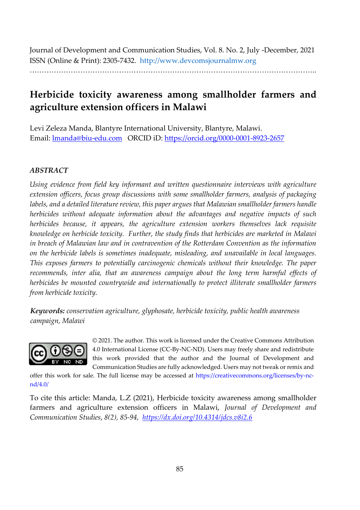Journal of Development and Communication Studies, Vol. 8. No. 2, July -December, 2021 ISSN (Online & Print): 2305-7432. [http://www.devcomsjournalmw.org](http://www.devcomsjournalmw.org/)

………………………………………………………………………………………………………..

# **Herbicide toxicity awareness among smallholder farmers and agriculture extension officers in Malawi**

Levi Zeleza Manda, Blantyre International University, Blantyre, Malawi. Email: lmanda@biu-edu.com ORCID iD:<https://orcid.org/0000-0001-8923-2657>

# *ABSTRACT*

*Using evidence from field key informant and written questionnaire interviews with agriculture extension officers, focus group discussions with some smallholder farmers, analysis of packaging labels, and a detailed literature review, this paper argues that Malawian smallholder farmers handle herbicides without adequate information about the advantages and negative impacts of such herbicides because, it appears, the agriculture extension workers themselves lack requisite knowledge on herbicide toxicity. Further, the study finds that herbicides are marketed in Malawi in breach of Malawian law and in contravention of the Rotterdam Convention as the information on the herbicide labels is sometimes inadequate, misleading, and unavailable in local languages. This exposes farmers to potentially carcinogenic chemicals without their knowledge. The paper recommends, inter alia, that an awareness campaign about the long term harmful effects of herbicides be mounted countrywide and internationally to protect illiterate smallholder farmers from herbicide toxicity.* 

*Keywords: conservation agriculture, glyphosate, herbicide toxicity, public health awareness campaign, Malawi* 



© 2021. The author. This work is licensed under the Creative Commons Attribution 4.0 International License (CC-By-NC-ND). Users may freely share and redistribute this work provided that the author and the Journal of Development and Communication Studies are fully acknowledged. Users may not tweak or remix and

offer this work for sale. The full license may be accessed [at https://creativecommons.org/licenses/by-nc](https://creativecommons.org/licenses/by-nc-nd/4.0/)[nd/4.0/](https://creativecommons.org/licenses/by-nc-nd/4.0/) 

To cite this article: Manda, L.Z (2021), Herbicide toxicity awareness among smallholder farmers and agriculture extension officers in Malawi, *Journal of Development and Communication Studies*, *8(2), 85-94, <https://dx.doi.org/10.4314/jdcs.v8i2.6>*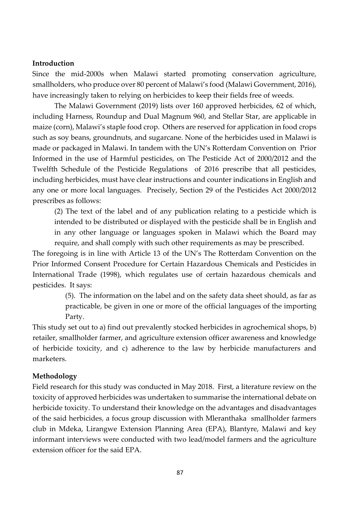## **Introduction**

Since the mid-2000s when Malawi started promoting conservation agriculture, smallholders, who produce over 80 percent of Malawi's food (Malawi Government, 2016), have increasingly taken to relying on herbicides to keep their fields free of weeds.

The Malawi Government (2019) lists over 160 approved herbicides, 62 of which, including Harness, Roundup and Dual Magnum 960, and Stellar Star, are applicable in maize (corn), Malawi's staple food crop. Others are reserved for application in food crops such as soy beans, groundnuts, and sugarcane. None of the herbicides used in Malawi is made or packaged in Malawi. In tandem with the UN's Rotterdam Convention on Prior Informed in the use of Harmful pesticides, on The Pesticide Act of 2000/2012 and the Twelfth Schedule of the Pesticide Regulations of 2016 prescribe that all pesticides, including herbicides, must have clear instructions and counter indications in English and any one or more local languages. Precisely, Section 29 of the Pesticides Act 2000/2012 prescribes as follows:

(2) The text of the label and of any publication relating to a pesticide which is intended to be distributed or displayed with the pesticide shall be in English and in any other language or languages spoken in Malawi which the Board may require, and shall comply with such other requirements as may be prescribed.

The foregoing is in line with Article 13 of the UN's The Rotterdam Convention on the Prior Informed Consent Procedure for Certain Hazardous Chemicals and Pesticides in International Trade (1998), which regulates use of certain hazardous chemicals and pesticides. It says:

> (5). The information on the label and on the safety data sheet should, as far as practicable, be given in one or more of the official languages of the importing Party.

This study set out to a) find out prevalently stocked herbicides in agrochemical shops, b) retailer, smallholder farmer, and agriculture extension officer awareness and knowledge of herbicide toxicity, and c) adherence to the law by herbicide manufacturers and marketers.

## **Methodology**

Field research for this study was conducted in May 2018. First, a literature review on the toxicity of approved herbicides was undertaken to summarise the international debate on herbicide toxicity. To understand their knowledge on the advantages and disadvantages of the said herbicides, a focus group discussion with Mleranthaka smallholder farmers club in Mdeka, Lirangwe Extension Planning Area (EPA), Blantyre, Malawi and key informant interviews were conducted with two lead/model farmers and the agriculture extension officer for the said EPA.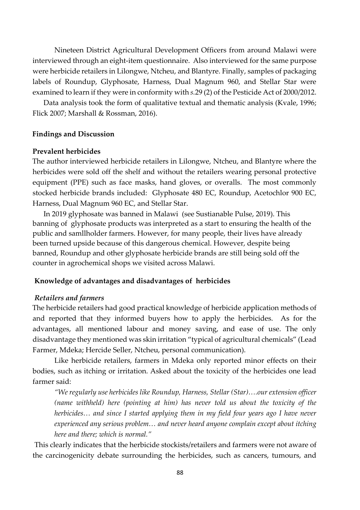Nineteen District Agricultural Development Officers from around Malawi were interviewed through an eight-item questionnaire. Also interviewed for the same purpose were herbicide retailers in Lilongwe, Ntcheu, and Blantyre. Finally, samples of packaging labels of Roundup, Glyphosate, Harness, Dual Magnum 960, and Stellar Star were examined to learn if they were in conformity with *s.*29 (2) of the Pesticide Act of 2000/2012.

Data analysis took the form of qualitative textual and thematic analysis (Kvale, 1996; Flick 2007; Marshall & Rossman, 2016).

# **Findings and Discussion**

## **Prevalent herbicides**

The author interviewed herbicide retailers in Lilongwe, Ntcheu, and Blantyre where the herbicides were sold off the shelf and without the retailers wearing personal protective equipment (PPE) such as face masks, hand gloves, or overalls. The most commonly stocked herbicide brands included: Glyphosate 480 EC, Roundup, Acetochlor 900 EC, Harness, Dual Magnum 960 EC, and Stellar Star.

In 2019 glyphosate was banned in Malawi (see Sustianable Pulse, 2019). This banning of glyphosate products was interpreted as a start to ensuring the health of the public and samllholder farmers. However, for many people, their lives have already been turned upside because of this dangerous chemical. However, despite being banned, Roundup and other glyphosate herbicide brands are still being sold off the counter in agrochemical shops we visited across Malawi.

## **Knowledge of advantages and disadvantages of herbicides**

#### *Retailers and farmers*

The herbicide retailers had good practical knowledge of herbicide application methods of and reported that they informed buyers how to apply the herbicides. As for the advantages, all mentioned labour and money saving, and ease of use. The only disadvantage they mentioned was skin irritation "typical of agricultural chemicals" (Lead Farmer, Mdeka; Hercide Seller, Ntcheu, personal communication).

Like herbicide retailers, farmers in Mdeka only reported minor effects on their bodies, such as itching or irritation. Asked about the toxicity of the herbicides one lead farmer said:

*"We regularly use herbicides like Roundup, Harness, Stellar (Star)….our extension officer (name withheld) here (pointing at him) has never told us about the toxicity of the herbicides… and since I started applying them in my field four years ago I have never experienced any serious problem… and never heard anyone complain except about itching here and there; which is normal."* 

This clearly indicates that the herbicide stockists/retailers and farmers were not aware of the carcinogenicity debate surrounding the herbicides, such as cancers, tumours, and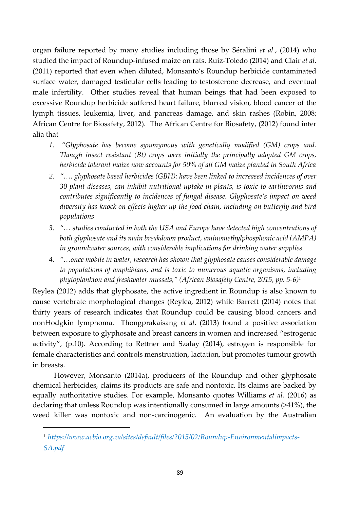organ failure reported by many studies including those by Séralini *et al.*, (2014) who studied the impact of Roundup-infused maize on rats. Ruiz-Toledo (2014) and Clair *et al*. (2011) reported that even when diluted, Monsanto's Roundup herbicide contaminated surface water, damaged testicular cells leading to testosterone decrease, and eventual male infertility. Other studies reveal that human beings that had been exposed to excessive Roundup herbicide suffered heart failure, blurred vision, blood cancer of the lymph tissues, leukemia, liver, and pancreas damage, and skin rashes (Robin, 2008; African Centre for Biosafety, 2012). The African Centre for Biosafety, (2012) found inter alia that

- *1. "Glyphosate has become synonymous with genetically modified (GM) crops and. Though insect resistant (Bt) crops were initially the principally adopted GM crops, herbicide tolerant maize now accounts for 50% of all GM maize planted in South Africa*
- *2. "…. glyphosate based herbicides (GBH): have been linked to increased incidences of over 30 plant diseases, can inhibit nutritional uptake in plants, is toxic to earthworms and contributes significantly to incidences of fungal disease. Glyphosate's impact on weed diversity has knock on effects higher up the food chain, including on butterfly and bird populations*
- *3. "… studies conducted in both the USA and Europe have detected high concentrations of both glyphosate and its main breakdown product, aminomethylphosphonic acid (AMPA) in groundwater sources, with considerable implications for drinking water supplies*
- *4. "…once mobile in water, research has shown that glyphosate causes considerable damage to populations of amphibians, and is toxic to numerous aquatic organisms, including phytoplankton and freshwater mussels," (African Biosafety Centre, 2015, pp. 5-6)<sup>1</sup>*

Reylea (2012) adds that glyphosate, the active ingredient in Roundup is also known to cause vertebrate morphological changes (Reylea, 2012) while Barrett (2014) notes that thirty years of research indicates that Roundup could be causing blood cancers and nonHodgkin lymphoma. Thongprakaisang *et al*. (2013) found a positive association between exposure to glyphosate and breast cancers in women and increased "estrogenic activity", (p.10). According to Rettner and Szalay (2014), estrogen is responsible for female characteristics and controls menstruation, lactation, but promotes tumour growth in breasts.

However, Monsanto (2014a), producers of the Roundup and other glyphosate chemical herbicides, claims its products are safe and nontoxic. Its claims are backed by equally authoritative studies. For example, Monsanto quotes Williams *et al.* (2016) as declaring that unless Roundup was intentionally consumed in large amounts (>41%), the weed killer was nontoxic and non-carcinogenic. An evaluation by the Australian

-

<sup>1</sup> *[https://www.acbio.org.za/sites/default/files/2015/02/Roundup-Environmentalimpacts-](https://www.acbio.org.za/sites/default/files/2015/02/Roundup-Environmental-impacts-SA.pdf)[SA.pdf](https://www.acbio.org.za/sites/default/files/2015/02/Roundup-Environmental-impacts-SA.pdf)*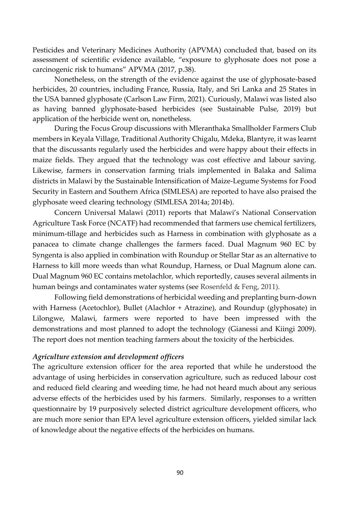Pesticides and Veterinary Medicines Authority (APVMA) concluded that, based on its assessment of scientific evidence available, "exposure to glyphosate does not pose a carcinogenic risk to humans" APVMA (2017, p.38).

Nonetheless, on the strength of the evidence against the use of glyphosate-based herbicides, 20 countries, including France, Russia, Italy, and Sri Lanka and 25 States in the USA banned glyphosate (Carlson Law Firm, 2021). Curiously, Malawi was listed also as having banned glyphosate-based herbicides (see Sustainable Pulse, 2019) but application of the herbicide went on, nonetheless.

During the Focus Group discussions with Mleranthaka Smallholder Farmers Club members in Keyala Village, Traditional Authority Chigalu, Mdeka, Blantyre, it was learnt that the discussants regularly used the herbicides and were happy about their effects in maize fields. They argued that the technology was cost effective and labour saving. Likewise, farmers in conservation farming trials implemented in Balaka and Salima districts in Malawi by the Sustainable Intensification of Maize-Legume Systems for Food Security in Eastern and Southern Africa (SIMLESA) are reported to have also praised the glyphosate weed clearing technology (SIMLESA 2014a; 2014b).

Concern Universal Malawi (2011) reports that Malawi's National Conservation Agriculture Task Force (NCATF) had recommended that farmers use chemical fertilizers, minimum-tillage and herbicides such as Harness in combination with glyphosate as a panacea to climate change challenges the farmers faced. Dual Magnum 960 EC by Syngenta is also applied in combination with Roundup or Stellar Star as an alternative to Harness to kill more weeds than what Roundup, Harness, or Dual Magnum alone can. Dual Magnum 960 EC contains metolachlor, which reportedly, causes several ailments in human beings and contaminates water systems (see Rosenfeld & Feng, 2011).

Following field demonstrations of herbicidal weeding and preplanting burn-down with Harness (Acetochlor), Bullet (Alachlor + Atrazine), and Roundup (glyphosate) in Lilongwe, Malawi, farmers were reported to have been impressed with the demonstrations and most planned to adopt the technology (Gianessi and Kiingi 2009). The report does not mention teaching farmers about the toxicity of the herbicides.

#### *Agriculture extension and development officers*

The agriculture extension officer for the area reported that while he understood the advantage of using herbicides in conservation agriculture, such as reduced labour cost and reduced field clearing and weeding time, he had not heard much about any serious adverse effects of the herbicides used by his farmers. Similarly, responses to a written questionnaire by 19 purposively selected district agriculture development officers, who are much more senior than EPA level agriculture extension officers, yielded similar lack of knowledge about the negative effects of the herbicides on humans.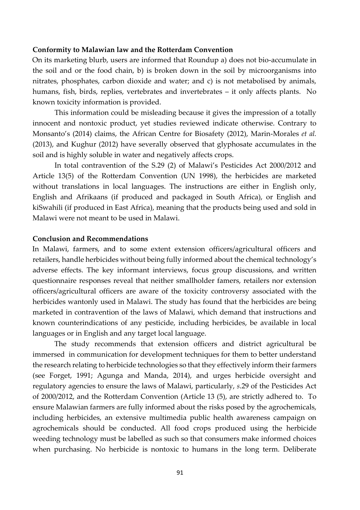# **Conformity to Malawian law and the Rotterdam Convention**

On its marketing blurb, users are informed that Roundup a) does not bio-accumulate in the soil and or the food chain, b) is broken down in the soil by microorganisms into nitrates, phosphates, carbon dioxide and water; and c) is not metabolised by animals, humans, fish, birds, replies, vertebrates and invertebrates – it only affects plants. No known toxicity information is provided.

This information could be misleading because it gives the impression of a totally innocent and nontoxic product, yet studies reviewed indicate otherwise. Contrary to Monsanto's (2014) claims, the African Centre for Biosafety (2012), Marin-Morales *et al.* (2013), and Kughur (2012) have severally observed that glyphosate accumulates in the soil and is highly soluble in water and negatively affects crops.

In total contravention of the S.29 (2) of Malawi's Pesticides Act 2000/2012 and Article 13(5) of the Rotterdam Convention (UN 1998), the herbicides are marketed without translations in local languages. The instructions are either in English only, English and Afrikaans (if produced and packaged in South Africa), or English and kiSwahili (if produced in East Africa), meaning that the products being used and sold in Malawi were not meant to be used in Malawi.

## **Conclusion and Recommendations**

In Malawi, farmers, and to some extent extension officers/agricultural officers and retailers, handle herbicides without being fully informed about the chemical technology's adverse effects. The key informant interviews, focus group discussions, and written questionnaire responses reveal that neither smallholder famers, retailers nor extension officers/agricultural officers are aware of the toxicity controversy associated with the herbicides wantonly used in Malawi. The study has found that the herbicides are being marketed in contravention of the laws of Malawi, which demand that instructions and known counterindications of any pesticide, including herbicides, be available in local languages or in English and any target local language.

The study recommends that extension officers and district agricultural be immersed in communication for development techniques for them to better understand the research relating to herbicide technologies so that they effectively inform their farmers (see Forget, 1991; Agunga and Manda, 2014), and urges herbicide oversight and regulatory agencies to ensure the laws of Malawi, particularly, *s*.29 of the Pesticides Act of 2000/2012, and the Rotterdam Convention (Article 13 (5), are strictly adhered to. To ensure Malawian farmers are fully informed about the risks posed by the agrochemicals, including herbicides, an extensive multimedia public health awareness campaign on agrochemicals should be conducted. All food crops produced using the herbicide weeding technology must be labelled as such so that consumers make informed choices when purchasing. No herbicide is nontoxic to humans in the long term. Deliberate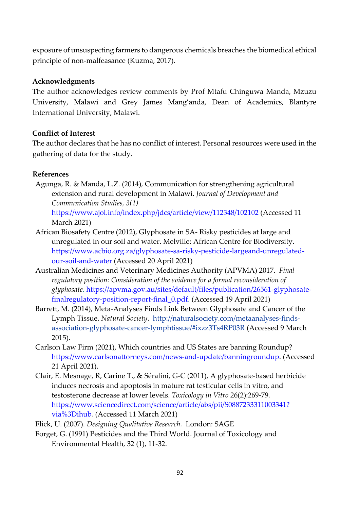exposure of unsuspecting farmers to dangerous chemicals breaches the biomedical ethical principle of non-malfeasance (Kuzma, 2017).

# **Acknowledgments**

The author acknowledges review comments by Prof Mtafu Chinguwa Manda, Mzuzu University, Malawi and Grey James Mang'anda, Dean of Academics, Blantyre International University, Malawi.

# **Conflict of Interest**

The author declares that he has no conflict of interest. Personal resources were used in the gathering of data for the study.

# **References**

Agunga, R. & Manda, L.Z. (2014), Communication for strengthening agricultural extension and rural development in Malawi. *Journal of Development and Communication Studies, 3(1)* <https://www.ajol.info/index.php/jdcs/article/view/112348/102102> (Accessed 11

March 2021)

- African Biosafety Centre (2012), Glyphosate in SA- Risky pesticides at large and unregulated in our soil and water. Melville: African Centre for Biodiversity. [https://www.acbio.org.za/glyphosate-sa-risky-pesticide-largeand-unregulated](https://www.acbio.org.za/glyphosate-sa-risky-pesticide-large-and-unregulated-our-soil-and-water)[our-soil-and-water](https://www.acbio.org.za/glyphosate-sa-risky-pesticide-large-and-unregulated-our-soil-and-water) [\(](https://www.acbio.org.za/glyphosate-sa-risky-pesticide-large-and-unregulated-our-soil-and-water)Accessed 20 April 2021)
- Australian Medicines and Veterinary Medicines Authority (APVMA) 2017. *Final regulatory position: Consideration of the evidence for a formal reconsideration of glyphosate.* [https://apvma.gov.au/sites/default/files/publication/26561-glyphosate](https://apvma.gov.au/sites/default/files/publication/26561-glyphosate-final-regulatory-position-report-final_0.pdf)[finalregulatory-position-report-final\\_0.pdf.](https://apvma.gov.au/sites/default/files/publication/26561-glyphosate-final-regulatory-position-report-final_0.pdf) (Accessed 19 April 2021)
- Barrett, M. (2014), Meta-Analyses Finds Link Between Glyphosate and Cancer of the Lymph Tissue. *Natural Society*. [http://naturalsociety.com/metaanalyses-finds](http://naturalsociety.com/meta-analyses-finds-association-glyphosate-cancer-lymph-tissue/#ixzz3Ts4RP03R)[association-glyphosate-cancer-lymphtissue/#ixzz3Ts4RP03R](http://naturalsociety.com/meta-analyses-finds-association-glyphosate-cancer-lymph-tissue/#ixzz3Ts4RP03R) (Accessed 9 March 2015).
- Carlson Law Firm (2021), Which countries and US States are banning Roundup? [https://www.carlsonattorneys.com/news-and-update/banningroundup.](https://www.carlsonattorneys.com/news-and-update/banning-roundup) (Accessed 21 April 2021).
- Clair, E. Mesnage, R, Carine T., & [Séralini,](https://www.researchgate.net/scientific-contributions/Gilles-Eric-Seralini-13525825?_sg%5B0%5D=pDrR7xvzGIfy9rBlhu4zNhGSJs40n_CNR-RFjN8mb9z6CQu2UENPqKcUAOcy6Sj1MDMEGi0.edptS3Ze_b4QlT6G-jJA3KuVTqxt49S8rv0G0lkLKVjGEQ2zH-A73GyKuUYt2piYRWVPzeS9FLytnooOO8trig&_sg%5B1%5D=GmC00ZFuzhl7jWQRAQjfbGn4k0vKyQIECzzJnaegidac6u9SxAH_Yg1GMgVXSbX5X5vaDRY.LmjeWzC5OCIhMx6BDc4tjlAKleZr_kMaAGPP1J7YACPziHo4XhxESiKujWUqE3zaH2HyepbYC5vI66BYTt6Q1g) G-C (2011), A glyphosate-based herbicide induces necrosis and apoptosis in mature rat testicular cells in vitro, and testosterone decrease at lower levels. *Toxicology in Vitro* 26(2):269-79. [https://www.sciencedirect.com/science/article/abs/pii/S0887233311003341?](https://www.sciencedirect.com/science/article/abs/pii/S0887233311003341?via%3Dihub)  [via%3Dihub.](https://www.sciencedirect.com/science/article/abs/pii/S0887233311003341?via%3Dihub) (Accessed 11 March 2021)
- Flick, U. (2007). *Designing Qualitative Research.* London: SAGE
- Forget, G. (1991) Pesticides and the Third World. Journal of Toxicology and Environmental Health, 32 (1), 11-32.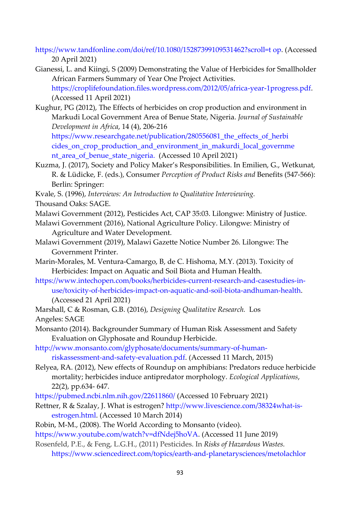[https://www.tandfonline.com/doi/ref/10.1080/15287399109531462?scroll=t op.](https://www.tandfonline.com/doi/ref/10.1080/15287399109531462?scroll=top) (Accessed 20 April 2021)

Gianessi, L. and Kiingi, S (2009) Demonstrating the Value of Herbicides for Smallholder African Farmers Summary of Year One Project Activities. [https://croplifefoundation.files.wordpress.com/2012/05/africa-year-1progress.pdf.](https://croplifefoundation.files.wordpress.com/2012/05/africa-year-1-progress.pdf) (Accessed 11 April 2021)

Kughur, PG (2012), The Effects of herbicides on crop production and environment in Markudi Local Government Area of Benue State, Nigeria. *Journal of Sustainable Development in Africa*, 14 (4), 206-216

https://www.researchgate.net/publication/280556081 the effects of herbi [cides\\_on\\_crop\\_production\\_and\\_environment\\_in\\_makurdi\\_local\\_governme](https://www.researchgate.net/publication/280556081_THE_EFFECTS_OF_HERBICIDES_ON_CROP_PRODUCTION_AND_ENVIRONMENT_IN_MAKURDI_LOCAL_GOVERNMENT_AREA_OF_BENUE_STATE_NIGERIA.(Accessed)  [nt\\_area\\_of\\_benue\\_state\\_nigeria.](https://www.researchgate.net/publication/280556081_THE_EFFECTS_OF_HERBICIDES_ON_CROP_PRODUCTION_AND_ENVIRONMENT_IN_MAKURDI_LOCAL_GOVERNMENT_AREA_OF_BENUE_STATE_NIGERIA.(Accessed) (Accessed 10 April 2021)

- Kuzma, J. (2017), Society and Policy Maker's Responsibilities. In Emilien, G., Wetkunat, R. & Lüdicke, F. (eds.), Consumer *Perception of Product Risks and* Benefits (547-566): Berlin: Springer:
- Kvale, S. (1996), *Interviews: An Introduction to Qualitative Interviewing.*
- Thousand Oaks: SAGE.
- Malawi Government (2012), Pesticides Act, CAP 35:03. Lilongwe: Ministry of Justice.
- Malawi Government (2016), National Agriculture Policy. Lilongwe: Ministry of Agriculture and Water Development.
- Malawi Government (2019), Malawi Gazette Notice Number 26. Lilongwe: The Government Printer.
- Marin-Morales, M. Ventura-Camargo, B, de C. Hishoma, M.Y. (2013). Toxicity of Herbicides: Impact on Aquatic and Soil Biota and Human Health.
- [https://www.intechopen.com/books/herbicides-current-research-and-casestudies-in](https://www.intechopen.com/books/herbicides-current-research-and-case-studies-in-use/toxicity-of-herbicides-impact-on-aquatic-and-soil-biota-and-human-health)[use/toxicity-of-herbicides-impact-on-aquatic-and-soil-biota-andhuman-health.](https://www.intechopen.com/books/herbicides-current-research-and-case-studies-in-use/toxicity-of-herbicides-impact-on-aquatic-and-soil-biota-and-human-health) (Accessed 21 April 2021)
- Marshall, C & Rosman, G.B. (2016), *Designing Qualitative Research.* Los

Angeles: SAGE

- Monsanto (2014). Backgrounder Summary of Human Risk Assessment and Safety Evaluation on Glyphosate and Roundup Herbicide.
- [http://www.monsanto.com/glyphosate/documents/summary-of-human](http://www.monsanto.com/glyphosate/documents/summary-of-human-risk-assessment-and-safety-evaluation.pdf)[riskassessment-and-safety-evaluation.pdf.](http://www.monsanto.com/glyphosate/documents/summary-of-human-risk-assessment-and-safety-evaluation.pdf) (Accessed 11 March, 2015)

Relyea, RA. (2012), New effects of Roundup on amphibians: Predators reduce herbicide mortality; herbicides induce antipredator morphology. *Ecological Applications*, 22(2), pp.634- 647.

- <https://pubmed.ncbi.nlm.nih.gov/22611860/> (Accessed 10 February 2021)
- Rettner, R & Szalay, J. What is estrogen? [http://www.livescience.com/38324what-is](http://www.livescience.com/38324-what-is-estrogen.html)[estrogen.html.](http://www.livescience.com/38324-what-is-estrogen.html) (Accessed 10 March 2014)
- Robin, M-M., (2008). The World According to Monsanto (video).

[https://www.youtube.com/watch?v=dfNdej5hoVA.](https://www.youtube.com/watch?v=dfNdej5hoVA) (Accessed 11 June 2019)

Rosenfeld, P.E., & Feng, L.G.H., (2011) Pesticides. In *[Risks of Hazardous Wastes.](https://www.sciencedirect.com/book/9781437778427/risks-of-hazardous-wastes)* [https://www.sciencedirect.com/topics/earth-and-planetarysciences/metolachlor](https://www.sciencedirect.com/topics/earth-and-planetary-sciences/metolachlor)